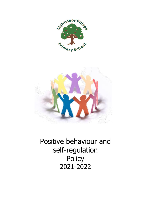



Positive behaviour and self-regulation **Policy** 2021-2022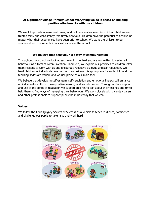#### **At Lightmoor Village Primary School everything we do is based on building positive attachments with our children**

We want to provide a warm welcoming and inclusive environment in which all children are treated fairly and consistently. We firmly believe all children have the potential to achieve no matter what their experiences have been prior to school. We want the children to be successful and this reflects in our values across the school.

#### **We believe that behaviour is a way of communication**

Throughout the school we look at each event in context and are committed to seeing all behaviour as a form of communication. Therefore, we explain our practices to children, offer them reasons to work with us and encourage reflective dialogue and self-regulation. We treat children as individuals, ensure that the curriculum is appropriate for each child and that teaching styles are varied, and we use praise as our main tool.

We believe that developing self-esteem, self-regulation and emotional literacy will enhance an individual's ability to make positive learning and social choices. Through nurture support and use of the zones of regulation we support children to talk about their feelings and try to help them to find ways of managing their behaviours. We work closely with parents / carers and other professionals to support pupils the in best way that we can.

#### **Values**

We follow the Chris Quigley Secrets of Success as a vehicle to teach resilience, confidence and challenge our pupils to take risks and work hard.

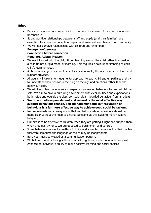# **Ethos**

- Behaviour is a form of communication of an emotional need. It can be conscious or unconscious.
- Strong positive relationships between staff and pupils (and their families) are essential. This creates connection respect and values all members of our community.
- We will not damage relationships with children but remember: **Engage don't enrage**

**Connection before correction Regulate, Relate, Reason**

- We want to start with the child, fitting learning around the child rather than making a child fit into a rigid model of learning. This requires a solid understanding of each child's learning needs.
- A child displaying behavioural difficulties is vulnerable, this needs to be explored and support provided.
- All adults will take a non-judgmental approach to each child and empathises and try to understand their behaviour focusing on feelings and emotions rather than the behaviour itself.
- We will keep clear boundaries and expectations around behaviour to keep all children safe. We aim to have a nurturing environment with clear routines and expectations both inside and outside the classroom with clear modelled behaviour from all adults.
- **We do not believe punishment and reward is the most effective way to support behaviour change. Self-management and self-regulation of behaviour is a far more effective way to achieve good social behaviour.**
- Natural rewards and consequences that can follow certain behaviours should be made clear without the need to enforce sanctions as this leads to more negative behaviour.
- Our aim is to be attentive to children when they are getting it right and support them when they get it wrong. We are opposed to punishment and control.
- Some behaviours are not a matter of choice and some factors are out of their control therefore sometime the language of choice may be inappropriate.
- Behaviour must be viewed as a communication pattern.
- We believe that developing self-esteem, self-regulation and emotional literacy will enhance an individual's ability to make positive learning and social choices.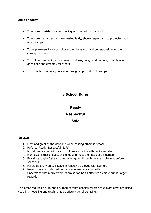# **Aims of policy**

- To ensure consistency when dealing with behaviour in school
- To ensure that all learners are treated fairly, shown respect and to promote good relationships
- To help learners take control over their behaviour and be responsible for the consequences of it
- To build a community which values kindness, care, good humour, good temper, obedience and empathy for others
- To promote community cohesion through improved relationships

# **3 School Rules**

# **Ready Respectful Safe**

#### **All staff:**

- 1. Meet and greet at the door and when passing others in school
- 2. Refer to 'Ready, Respectful, Safe'
- 3. Model positive behaviours and build relationships with pupils and staff
- 4. Plan lessons that engage, challenge and meet the needs of all learners
- 5. Be calm and give 'take up time' when going through the steps. Prevent before sanctions.
- 6. Follow up every time. Engage in reflective dialogue with learners
- 7. Never ignore or walk past learners who are behaving badly
- 8. Understand that a quiet word of praise can be as effective as more public, larger rewards

This ethos requires a nurturing environment that enables children to explore emotions using coaching modelling and teaching appropriate ways of behaving.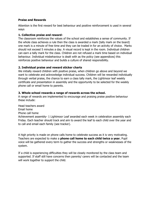### **Praise and Rewards**

Attention is the first reward for best behaviour and positive reinforcement is used in several ways

# **1. Collective praise and reward-**

The classroom reinforces the values of the school and establishes a sense of community. If the whole class achieves a rule then the class is awarded a mark (tally mark on the board) one mark is a minute of free time and they can be traded in for an activity of choice. Marks should not exceed 5 minutes a day. A visual record is kept in the room. Individual children can earn a tally mark for the class. Children are not refused a mark time based on individual behaviour. Individual misbehaviour is dealt with as the policy (see appendices) this reinforces positive behaviour and builds a culture of shared responsibility.

# **2. Individual praise and reward sticker charts**

We initially reward children with positive praise, when children go above and beyond we want to celebrate and acknowledge individual success. Children will be rewarded individually through verbal praise, the chance to earn a class tally mark, the Lightmoor leaf weekly certificate and presentation in assembly and the opportunity to be selected for the weekly phone call or email home to parents.

# **3. Whole school rewards a range of rewards across the school.**

A range of rewards are implemented to encourage and praising praise positive behaviour these include:

Head teachers award Email home Phone call home

Achievement assembly- 1 Lightmoor Leaf awarded each week in celebration assembly each Friday. Each teacher should track and aim to award the leaf to each child over the year and to call and email each family (see tracker).

A high priority is made on phone calls home to celebrate success as it is very motivating. Teachers are expected to make a **phone call home to each child twice a year.** Pupil voice will be gathered every term to gather the success and strengths or weaknesses of the system.

If a child is experiencing difficulties they will be closely monitored by the class team and supported. If staff still have concerns then parents/ carers will be contacted and the team will work together to support the child.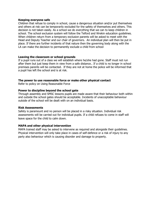#### **Keeping everyone safe**

Children that refuse to comply in school, cause a dangerous situation and/or put themselves and others at risk can be temporarily excluded for the safety of themselves and others. This decision is not taken easily. As a school we do everything that we can to keep children in school. The school exclusion system will follow the Telford and Wrekin education guidelines. When children return from a temporary exclusion parents will be asked to meet with the Head and Deputy Teacher and our chair of governors. An individual plan will then be put in place. If there are further incidents of that nature then the governing body along with the LA can make the decision to permanently exclude a child from school

#### **Leaving the classroom or school grounds**

If a pupil runs out of a class we will establish where he/she had gone. Staff must not run after them but just keep them in view from a safe distance.. If a child is no longer in school premises parents will be contacted. If they are not at home the police will be informed that a pupil has left the school and is at risk.

#### **The power to use reasonable force or make other physical contact**

Refer to policy on Using Reasonable Force

#### **Power to discipline beyond the school gate**

Through assembly and SMSC lessons pupils are made aware that their behaviour both within and outside the school gates should be acceptable. Incidents of unacceptable behaviour outside of the school will be dealt with on an individual basis.

#### **Risk Assessments**

Safety is paramount and no person will be placed in a risky situation. Individual risk assessments will be carried out for individual pupils. If a child refuses to come in staff will leave space for the child to calm down.

#### **MAPA and other physical intervention**

MAPA trained staff may be asked to intervene as required and alongside their guidelines. Physical intervention will only take place in cases of self-defence or a risk of injury to any party also behaviour which is causing disorder and damage to property.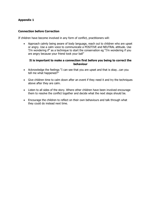# **Appendix 1**

#### **Connection before Correction**

If children have become involved in any form of conflict, practitioners will:

• Approach calmly being aware of body language, reach out to children who are upset or angry. Use a calm voice to communicate a POSITIVE and NEUTRAL attitude. Use 'I'm wondering if" as a technique to start the conservation eg "I'm wondering if you are angry because your friend took your ball"

#### **It is important to make a connection first before you being to correct the behaviour**

- Acknowledge the feelings "I can see that you are upset and that is okay…can you tell me what happened?"
- Give children time to calm down after an event if they need it and try the techniques above after they are calm.
- Listen to all sides of the story. Where other children have been involved encourage them to resolve the conflict together and decide what the next steps should be.
- Encourage the children to reflect on their own behaviours and talk through what they could do instead next time.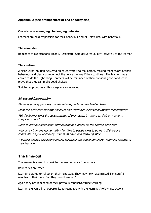# **Appendix 2 (see prompt sheet at end of policy also)**

#### **Our steps in managing challenging behaviour**

Learners are held responsible for their behaviour and ALL staff deal with behaviour.

#### **The reminder**

Reminder of expectations, Ready, Respectful, Safe delivered quietly/ privately to the learner

#### **The caution**

A clear verbal caution delivered quietly/privately to the learner, making them aware of their behaviour and clearly pointing out the consequences if they continue. The learner has a choice to do the right thing. Learners will be reminded of their previous good conduct to prove that they can make good choices.

Scripted approaches at this stage are encouraged:

#### **30 second intervention**

Gentle approach, personal, non-threatening, side on, eye level or lower.

State the behaviour that was observed and which rule/expectation/routine it contravenes

Tell the learner what the consequences of their action is (giving up their own time to complete work etc)

Refer to previous good behaviour/learning as a model for the desired behaviour.

Walk away from the learner; allow her time to decide what to do next. If there are comments, as you walk away write them down and follow up later.

We resist endless discussions around behaviour and spend our energy returning learners to their learning

# **The time-out**

The learner is asked to speak to the teacher away from others

Boundaries are reset

Learner is asked to reflect on their next step. They may now have missed 1 minute/ 2 minutes of their time. Can they turn it around?

Again they are reminded of their previous conduct/attitude/learning.

Learner is given a final opportunity to reengage with the learning / follow instructions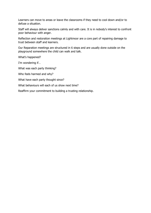Learners can move to areas or leave the classrooms if they need to cool down and/or to defuse a situation.

Staff will always deliver sanctions calmly and with care. It is in nobody's interest to confront poor behaviour with anger.

Reflection and restoration meetings at Lightmoor are a core part of repairing damage to trust between staff and learners.

Our Reparation meetings are structured in 6 steps and are usually done outside on the playground somewhere the child can walk and talk.

What's happened?

I'm wondering if…

What was each party thinking?

Who feels harmed and why?

What have each party thought since?

What behaviours will each of us show next time?

Reaffirm your commitment to building a trusting relationship.